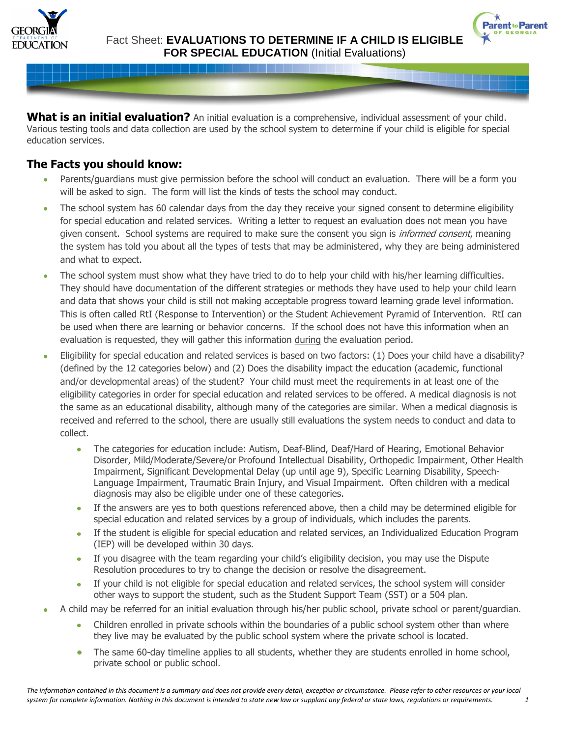



**What is an initial evaluation?** An initial evaluation is a comprehensive, individual assessment of your child. Various testing tools and data collection are used by the school system to determine if your child is eligible for special education services.

# **The Facts you should know:**

- Parents/guardians must give permission before the school will conduct an evaluation. There will be a form you will be asked to sign. The form will list the kinds of tests the school may conduct.
- The school system has 60 calendar days from the day they receive your signed consent to determine eligibility for special education and related services. Writing a letter to request an evaluation does not mean you have given consent. School systems are required to make sure the consent you sign is *informed consent*, meaning the system has told you about all the types of tests that may be administered, why they are being administered and what to expect.
- The school system must show what they have tried to do to help your child with his/her learning difficulties. They should have documentation of the different strategies or methods they have used to help your child learn and data that shows your child is still not making acceptable progress toward learning grade level information. This is often called RtI (Response to Intervention) or the Student Achievement Pyramid of Intervention. RtI can be used when there are learning or behavior concerns. If the school does not have this information when an evaluation is requested, they will gather this information during the evaluation period.
- Eligibility for special education and related services is based on two factors: (1) Does your child have a disability? (defined by the 12 categories below) and (2) Does the disability impact the education (academic, functional and/or developmental areas) of the student? Your child must meet the requirements in at least one of the eligibility categories in order for special education and related services to be offered. A medical diagnosis is not the same as an educational disability, although many of the categories are similar. When a medical diagnosis is received and referred to the school, there are usually still evaluations the system needs to conduct and data to collect.
	- $\bullet$ The categories for education include: Autism, Deaf-Blind, Deaf/Hard of Hearing, Emotional Behavior Disorder, Mild/Moderate/Severe/or Profound Intellectual Disability, Orthopedic Impairment, Other Health Impairment, Significant Developmental Delay (up until age 9), Specific Learning Disability, Speech-Language Impairment, Traumatic Brain Injury, and Visual Impairment. Often children with a medical diagnosis may also be eligible under one of these categories.
	- If the answers are yes to both questions referenced above, then a child may be determined eligible for special education and related services by a group of individuals, which includes the parents.
	- If the student is eligible for special education and related services, an Individualized Education Program (IEP) will be developed within 30 days.
	- If you disagree with the team regarding your child's eligibility decision, you may use the Dispute Resolution procedures to try to change the decision or resolve the disagreement.
	- $\bullet$ If your child is not eligible for special education and related services, the school system will consider other ways to support the student, such as the Student Support Team (SST) or a 504 plan.
- A child may be referred for an initial evaluation through his/her public school, private school or parent/guardian.
	- Children enrolled in private schools within the boundaries of a public school system other than where  $\bullet$ they live may be evaluated by the public school system where the private school is located.
	- The same 60-day timeline applies to all students, whether they are students enrolled in home school,  $\bullet$ private school or public school.